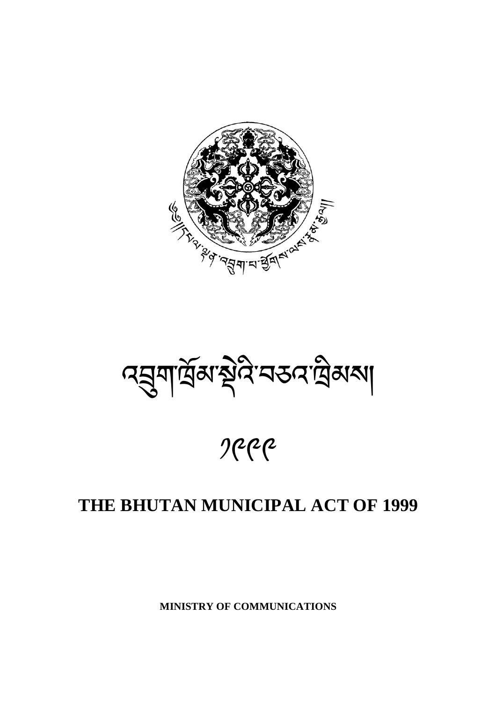

বর্ম্বার্ত্রঝস্থাইন বর্তন ট্রেম্বা

 $2$ 

# **THE BHUTAN MUNICIPAL ACT OF 1999**

**MINISTRY OF COMMUNICATIONS**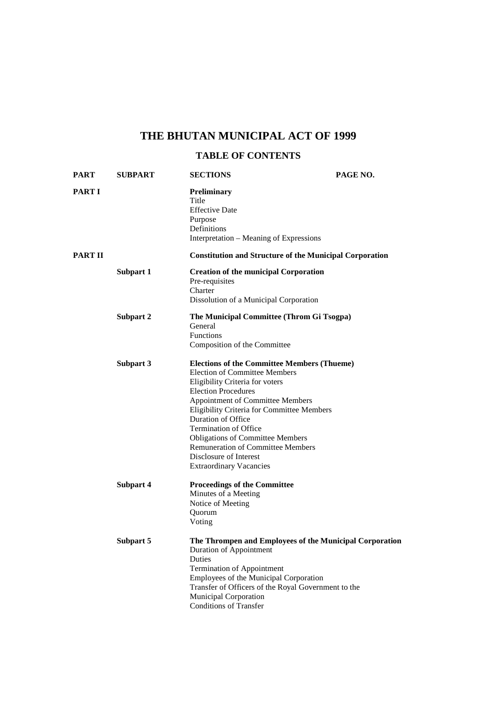# **THE BHUTAN MUNICIPAL ACT OF 1999**

# **TABLE OF CONTENTS**

| PART    | <b>SUBPART</b> | <b>SECTIONS</b>                                                                                                                                                                                                                                                                                                                                                                                                                                        | PAGE NO.                                                |
|---------|----------------|--------------------------------------------------------------------------------------------------------------------------------------------------------------------------------------------------------------------------------------------------------------------------------------------------------------------------------------------------------------------------------------------------------------------------------------------------------|---------------------------------------------------------|
| PART I  |                | Preliminary<br>Title<br><b>Effective Date</b><br>Purpose<br>Definitions<br>Interpretation – Meaning of Expressions                                                                                                                                                                                                                                                                                                                                     |                                                         |
| PART II |                | <b>Constitution and Structure of the Municipal Corporation</b>                                                                                                                                                                                                                                                                                                                                                                                         |                                                         |
|         | Subpart 1      | <b>Creation of the municipal Corporation</b><br>Pre-requisites<br>Charter<br>Dissolution of a Municipal Corporation                                                                                                                                                                                                                                                                                                                                    |                                                         |
|         | Subpart 2      | The Municipal Committee (Throm Gi Tsogpa)<br>General<br>Functions<br>Composition of the Committee                                                                                                                                                                                                                                                                                                                                                      |                                                         |
|         | Subpart 3      | <b>Elections of the Committee Members (Thueme)</b><br><b>Election of Committee Members</b><br>Eligibility Criteria for voters<br><b>Election Procedures</b><br>Appointment of Committee Members<br>Eligibility Criteria for Committee Members<br>Duration of Office<br><b>Termination of Office</b><br><b>Obligations of Committee Members</b><br><b>Remuneration of Committee Members</b><br>Disclosure of Interest<br><b>Extraordinary Vacancies</b> |                                                         |
|         | Subpart 4      | <b>Proceedings of the Committee</b><br>Minutes of a Meeting<br>Notice of Meeting<br>Quorum<br>Voting                                                                                                                                                                                                                                                                                                                                                   |                                                         |
|         | Subpart 5      | Duration of Appointment<br>Duties<br>Termination of Appointment<br>Employees of the Municipal Corporation<br>Transfer of Officers of the Royal Government to the<br><b>Municipal Corporation</b><br><b>Conditions of Transfer</b>                                                                                                                                                                                                                      | The Thrompen and Employees of the Municipal Corporation |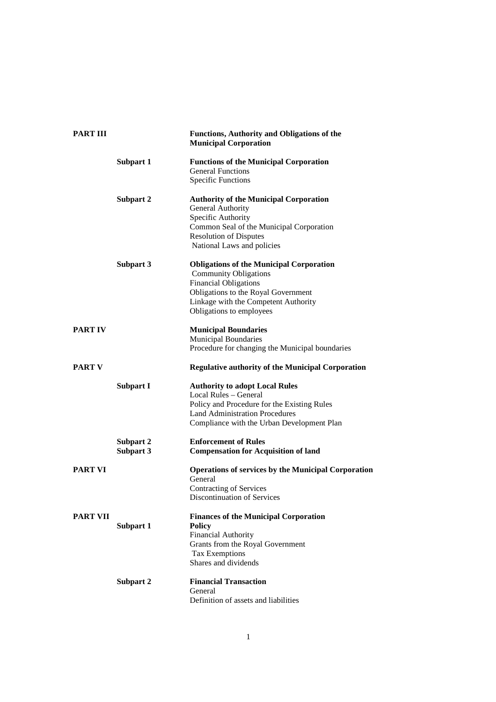| <b>PART III</b> |                        | <b>Functions, Authority and Obligations of the</b><br><b>Municipal Corporation</b>                                                                                                                                         |  |
|-----------------|------------------------|----------------------------------------------------------------------------------------------------------------------------------------------------------------------------------------------------------------------------|--|
|                 | Subpart 1              | <b>Functions of the Municipal Corporation</b><br><b>General Functions</b><br><b>Specific Functions</b>                                                                                                                     |  |
|                 | Subpart 2              | <b>Authority of the Municipal Corporation</b><br>General Authority<br>Specific Authority<br>Common Seal of the Municipal Corporation<br><b>Resolution of Disputes</b><br>National Laws and policies                        |  |
|                 | Subpart 3              | <b>Obligations of the Municipal Corporation</b><br><b>Community Obligations</b><br><b>Financial Obligations</b><br>Obligations to the Royal Government<br>Linkage with the Competent Authority<br>Obligations to employees |  |
| <b>PART IV</b>  |                        | <b>Municipal Boundaries</b><br><b>Municipal Boundaries</b><br>Procedure for changing the Municipal boundaries                                                                                                              |  |
| <b>PART V</b>   |                        | <b>Regulative authority of the Municipal Corporation</b>                                                                                                                                                                   |  |
|                 | <b>Subpart I</b>       | <b>Authority to adopt Local Rules</b><br>Local Rules - General<br>Policy and Procedure for the Existing Rules<br><b>Land Administration Procedures</b><br>Compliance with the Urban Development Plan                       |  |
|                 | Subpart 2<br>Subpart 3 | <b>Enforcement of Rules</b><br><b>Compensation for Acquisition of land</b>                                                                                                                                                 |  |
| <b>PART VI</b>  |                        | <b>Operations of services by the Municipal Corporation</b><br>General<br><b>Contracting of Services</b><br>Discontinuation of Services                                                                                     |  |
| <b>PART VII</b> | Subpart 1              | <b>Finances of the Municipal Corporation</b><br><b>Policy</b><br><b>Financial Authority</b><br>Grants from the Royal Government<br><b>Tax Exemptions</b><br>Shares and dividends                                           |  |
|                 | Subpart 2              | <b>Financial Transaction</b><br>General<br>Definition of assets and liabilities                                                                                                                                            |  |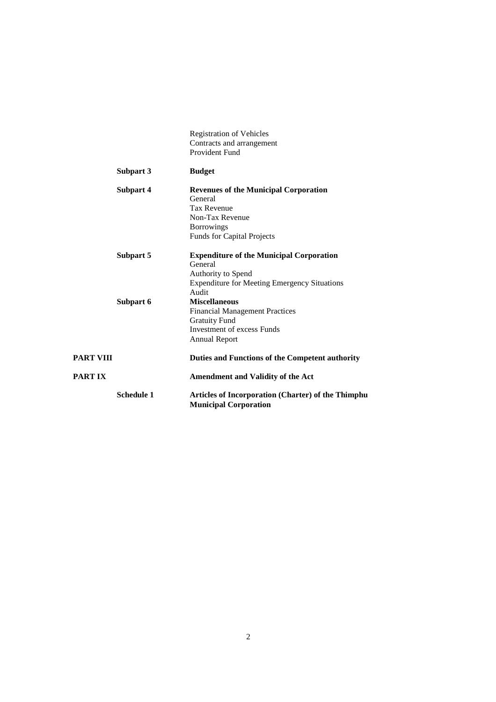|           |                   | <b>Registration of Vehicles</b><br>Contracts and arrangement<br>Provident Fund                                                                             |
|-----------|-------------------|------------------------------------------------------------------------------------------------------------------------------------------------------------|
|           | Subpart 3         | <b>Budget</b>                                                                                                                                              |
|           | Subpart 4         | <b>Revenues of the Municipal Corporation</b><br>General<br><b>Tax Revenue</b><br>Non-Tax Revenue<br><b>Borrowings</b><br><b>Funds for Capital Projects</b> |
|           | Subpart 5         | <b>Expenditure of the Municipal Corporation</b><br>General<br>Authority to Spend<br><b>Expenditure for Meeting Emergency Situations</b><br>Audit           |
|           | Subpart 6         | <b>Miscellaneous</b><br><b>Financial Management Practices</b><br><b>Gratuity Fund</b><br><b>Investment of excess Funds</b><br><b>Annual Report</b>         |
| PART VIII |                   | Duties and Functions of the Competent authority                                                                                                            |
| PART IX   |                   | <b>Amendment and Validity of the Act</b>                                                                                                                   |
|           | <b>Schedule 1</b> | <b>Articles of Incorporation (Charter) of the Thimphu</b><br><b>Municipal Corporation</b>                                                                  |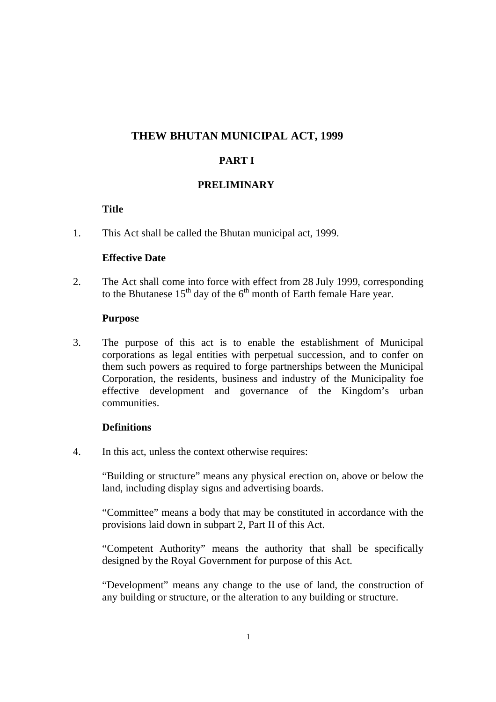# **THEW BHUTAN MUNICIPAL ACT, 1999**

# **PART I**

# **PRELIMINARY**

#### **Title**

1. This Act shall be called the Bhutan municipal act, 1999.

#### **Effective Date**

2. The Act shall come into force with effect from 28 July 1999, corresponding to the Bhutanese  $15<sup>th</sup>$  day of the  $6<sup>th</sup>$  month of Earth female Hare year.

#### **Purpose**

3. The purpose of this act is to enable the establishment of Municipal corporations as legal entities with perpetual succession, and to confer on them such powers as required to forge partnerships between the Municipal Corporation, the residents, business and industry of the Municipality foe effective development and governance of the Kingdom's urban communities.

#### **Definitions**

4. In this act, unless the context otherwise requires:

"Building or structure" means any physical erection on, above or below the land, including display signs and advertising boards.

"Committee" means a body that may be constituted in accordance with the provisions laid down in subpart 2, Part II of this Act.

"Competent Authority" means the authority that shall be specifically designed by the Royal Government for purpose of this Act.

"Development" means any change to the use of land, the construction of any building or structure, or the alteration to any building or structure.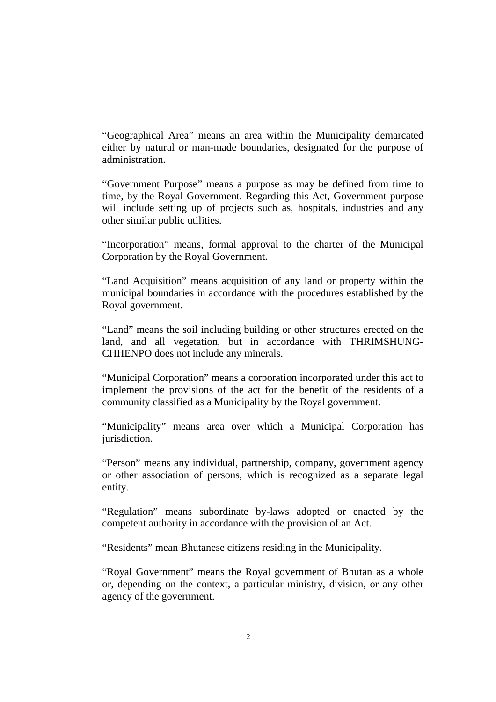"Geographical Area" means an area within the Municipality demarcated either by natural or man-made boundaries, designated for the purpose of administration.

"Government Purpose" means a purpose as may be defined from time to time, by the Royal Government. Regarding this Act, Government purpose will include setting up of projects such as, hospitals, industries and any other similar public utilities.

"Incorporation" means, formal approval to the charter of the Municipal Corporation by the Royal Government.

"Land Acquisition" means acquisition of any land or property within the municipal boundaries in accordance with the procedures established by the Royal government.

"Land" means the soil including building or other structures erected on the land, and all vegetation, but in accordance with THRIMSHUNG-CHHENPO does not include any minerals.

"Municipal Corporation" means a corporation incorporated under this act to implement the provisions of the act for the benefit of the residents of a community classified as a Municipality by the Royal government.

"Municipality" means area over which a Municipal Corporation has jurisdiction.

"Person" means any individual, partnership, company, government agency or other association of persons, which is recognized as a separate legal entity.

"Regulation" means subordinate by-laws adopted or enacted by the competent authority in accordance with the provision of an Act.

"Residents" mean Bhutanese citizens residing in the Municipality.

"Royal Government" means the Royal government of Bhutan as a whole or, depending on the context, a particular ministry, division, or any other agency of the government.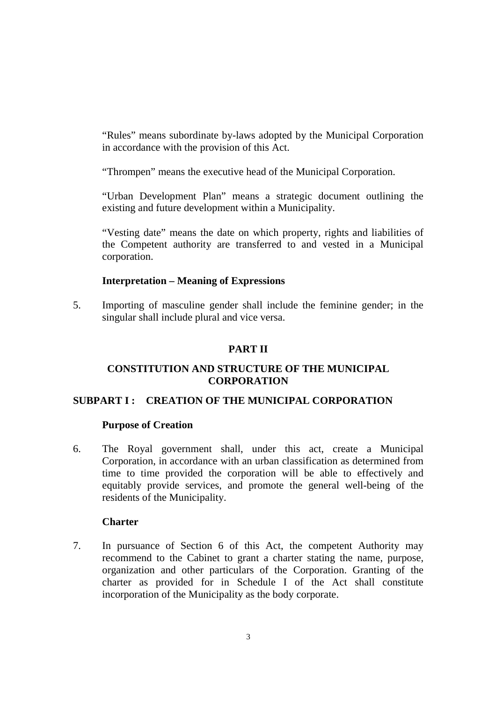"Rules" means subordinate by-laws adopted by the Municipal Corporation in accordance with the provision of this Act.

"Thrompen" means the executive head of the Municipal Corporation.

"Urban Development Plan" means a strategic document outlining the existing and future development within a Municipality.

"Vesting date" means the date on which property, rights and liabilities of the Competent authority are transferred to and vested in a Municipal corporation.

#### **Interpretation – Meaning of Expressions**

5. Importing of masculine gender shall include the feminine gender; in the singular shall include plural and vice versa.

# **PART II**

#### **CONSTITUTION AND STRUCTURE OF THE MUNICIPAL CORPORATION**

#### **SUBPART I : CREATION OF THE MUNICIPAL CORPORATION**

#### **Purpose of Creation**

6. The Royal government shall, under this act, create a Municipal Corporation, in accordance with an urban classification as determined from time to time provided the corporation will be able to effectively and equitably provide services, and promote the general well-being of the residents of the Municipality.

#### **Charter**

7. In pursuance of Section 6 of this Act, the competent Authority may recommend to the Cabinet to grant a charter stating the name, purpose, organization and other particulars of the Corporation. Granting of the charter as provided for in Schedule I of the Act shall constitute incorporation of the Municipality as the body corporate.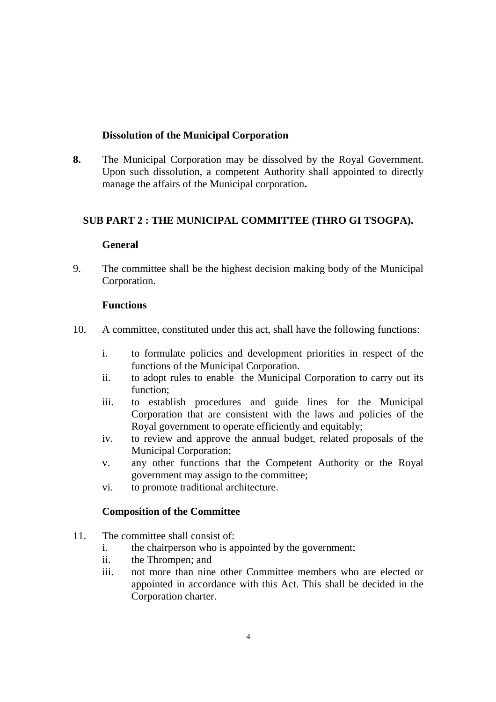# **Dissolution of the Municipal Corporation**

**8.** The Municipal Corporation may be dissolved by the Royal Government. Upon such dissolution, a competent Authority shall appointed to directly manage the affairs of the Municipal corporation**.** 

# **SUB PART 2 : THE MUNICIPAL COMMITTEE (THRO GI TSOGPA).**

# **General**

9. The committee shall be the highest decision making body of the Municipal Corporation.

# **Functions**

- 10. A committee, constituted under this act, shall have the following functions:
	- i. to formulate policies and development priorities in respect of the functions of the Municipal Corporation.
	- ii. to adopt rules to enable the Municipal Corporation to carry out its function;
	- iii. to establish procedures and guide lines for the Municipal Corporation that are consistent with the laws and policies of the Royal government to operate efficiently and equitably;
	- iv. to review and approve the annual budget, related proposals of the Municipal Corporation;
	- v. any other functions that the Competent Authority or the Royal government may assign to the committee;
	- vi. to promote traditional architecture.

# **Composition of the Committee**

- 11. The committee shall consist of:
	- i. the chairperson who is appointed by the government;
	- ii. the Thrompen; and
	- iii. not more than nine other Committee members who are elected or appointed in accordance with this Act. This shall be decided in the Corporation charter.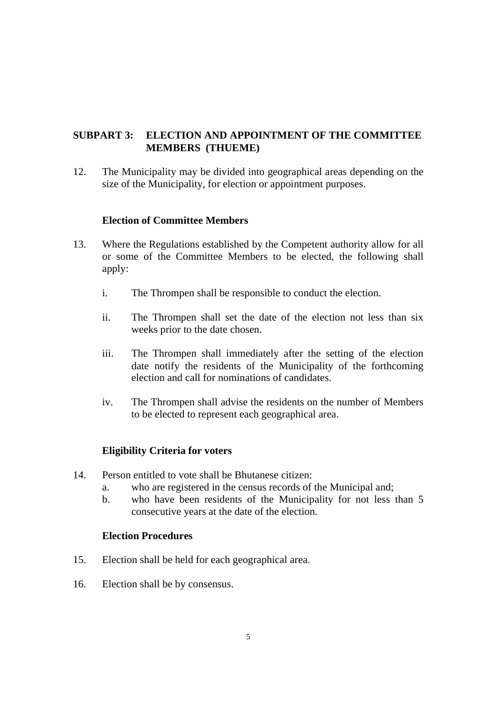# **SUBPART 3: ELECTION AND APPOINTMENT OF THE COMMITTEE MEMBERS (THUEME)**

12. The Municipality may be divided into geographical areas depending on the size of the Municipality, for election or appointment purposes.

#### **Election of Committee Members**

- 13. Where the Regulations established by the Competent authority allow for all or some of the Committee Members to be elected, the following shall apply:
	- i. The Thrompen shall be responsible to conduct the election.
	- ii. The Thrompen shall set the date of the election not less than six weeks prior to the date chosen.
	- iii. The Thrompen shall immediately after the setting of the election date notify the residents of the Municipality of the forthcoming election and call for nominations of candidates.
	- iv. The Thrompen shall advise the residents on the number of Members to be elected to represent each geographical area.

#### **Eligibility Criteria for voters**

- 14. Person entitled to vote shall be Bhutanese citizen:
	- a. who are registered in the census records of the Municipal and;
	- b. who have been residents of the Municipality for not less than 5 consecutive years at the date of the election.

#### **Election Procedures**

- 15. Election shall be held for each geographical area.
- 16. Election shall be by consensus.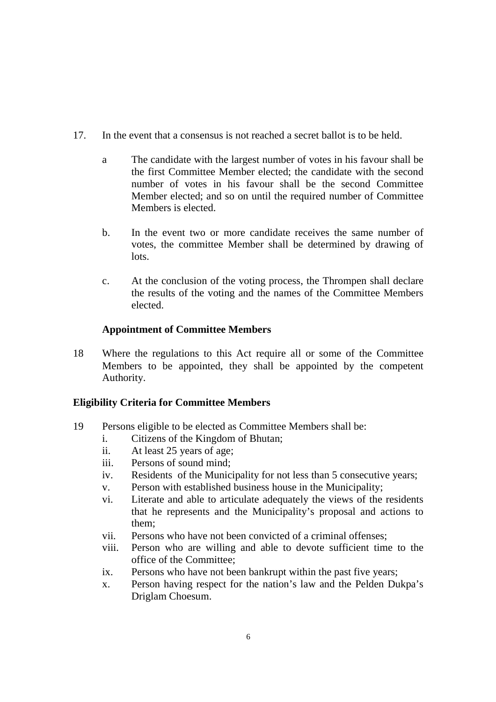- 17. In the event that a consensus is not reached a secret ballot is to be held.
	- a The candidate with the largest number of votes in his favour shall be the first Committee Member elected; the candidate with the second number of votes in his favour shall be the second Committee Member elected; and so on until the required number of Committee Members is elected.
	- b. In the event two or more candidate receives the same number of votes, the committee Member shall be determined by drawing of lots.
	- c. At the conclusion of the voting process, the Thrompen shall declare the results of the voting and the names of the Committee Members elected.

# **Appointment of Committee Members**

18 Where the regulations to this Act require all or some of the Committee Members to be appointed, they shall be appointed by the competent Authority.

# **Eligibility Criteria for Committee Members**

- 19 Persons eligible to be elected as Committee Members shall be:
	- i. Citizens of the Kingdom of Bhutan;
	- ii. At least 25 years of age;
	- iii. Persons of sound mind;
	- iv. Residents of the Municipality for not less than 5 consecutive years;
	- v. Person with established business house in the Municipality;
	- vi. Literate and able to articulate adequately the views of the residents that he represents and the Municipality's proposal and actions to them;
	- vii. Persons who have not been convicted of a criminal offenses;
	- viii. Person who are willing and able to devote sufficient time to the office of the Committee;
	- ix. Persons who have not been bankrupt within the past five years;
	- x. Person having respect for the nation's law and the Pelden Dukpa's Driglam Choesum.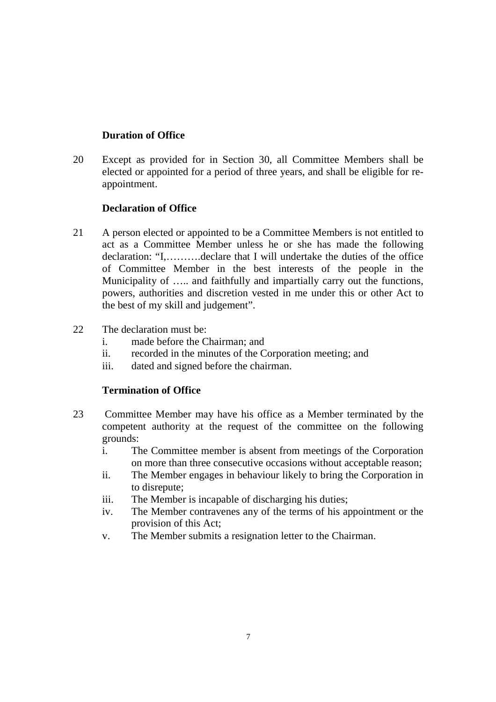# **Duration of Office**

20 Except as provided for in Section 30, all Committee Members shall be elected or appointed for a period of three years, and shall be eligible for reappointment.

#### **Declaration of Office**

- 21 A person elected or appointed to be a Committee Members is not entitled to act as a Committee Member unless he or she has made the following declaration: "I,……….declare that I will undertake the duties of the office of Committee Member in the best interests of the people in the Municipality of ..... and faithfully and impartially carry out the functions, powers, authorities and discretion vested in me under this or other Act to the best of my skill and judgement".
- 22 The declaration must be:
	- i. made before the Chairman; and
	- ii. recorded in the minutes of the Corporation meeting; and
	- iii. dated and signed before the chairman.

# **Termination of Office**

- 23 Committee Member may have his office as a Member terminated by the competent authority at the request of the committee on the following grounds:
	- i. The Committee member is absent from meetings of the Corporation on more than three consecutive occasions without acceptable reason;
	- ii. The Member engages in behaviour likely to bring the Corporation in to disrepute;
	- iii. The Member is incapable of discharging his duties;
	- iv. The Member contravenes any of the terms of his appointment or the provision of this Act;
	- v. The Member submits a resignation letter to the Chairman.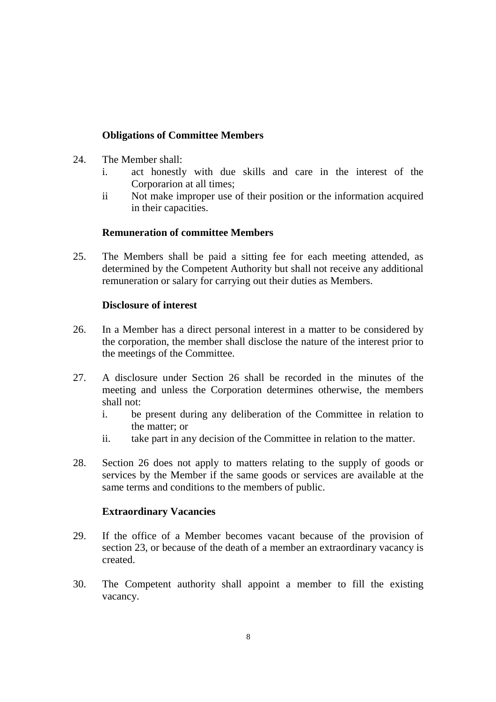# **Obligations of Committee Members**

- 24. The Member shall:
	- i. act honestly with due skills and care in the interest of the Corporarion at all times;
	- ii Not make improper use of their position or the information acquired in their capacities.

# **Remuneration of committee Members**

25. The Members shall be paid a sitting fee for each meeting attended, as determined by the Competent Authority but shall not receive any additional remuneration or salary for carrying out their duties as Members.

#### **Disclosure of interest**

- 26. In a Member has a direct personal interest in a matter to be considered by the corporation, the member shall disclose the nature of the interest prior to the meetings of the Committee.
- 27. A disclosure under Section 26 shall be recorded in the minutes of the meeting and unless the Corporation determines otherwise, the members shall not:
	- i. be present during any deliberation of the Committee in relation to the matter; or
	- ii. take part in any decision of the Committee in relation to the matter.
- 28. Section 26 does not apply to matters relating to the supply of goods or services by the Member if the same goods or services are available at the same terms and conditions to the members of public.

#### **Extraordinary Vacancies**

- 29. If the office of a Member becomes vacant because of the provision of section 23, or because of the death of a member an extraordinary vacancy is created.
- 30. The Competent authority shall appoint a member to fill the existing vacancy.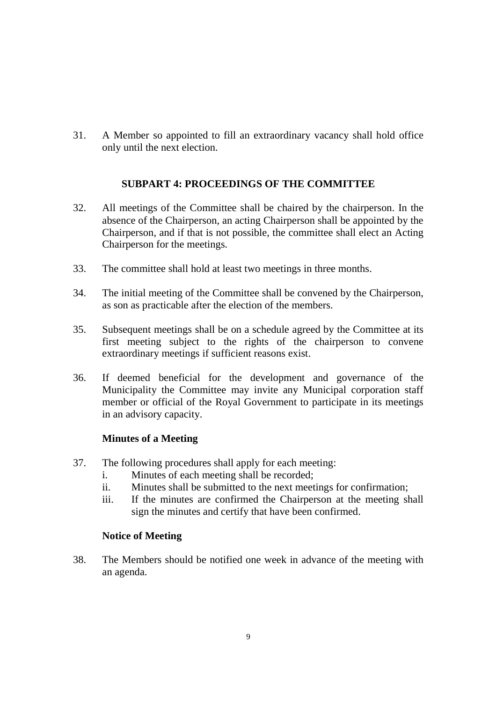31. A Member so appointed to fill an extraordinary vacancy shall hold office only until the next election.

# **SUBPART 4: PROCEEDINGS OF THE COMMITTEE**

- 32. All meetings of the Committee shall be chaired by the chairperson. In the absence of the Chairperson, an acting Chairperson shall be appointed by the Chairperson, and if that is not possible, the committee shall elect an Acting Chairperson for the meetings.
- 33. The committee shall hold at least two meetings in three months.
- 34. The initial meeting of the Committee shall be convened by the Chairperson, as son as practicable after the election of the members.
- 35. Subsequent meetings shall be on a schedule agreed by the Committee at its first meeting subject to the rights of the chairperson to convene extraordinary meetings if sufficient reasons exist.
- 36. If deemed beneficial for the development and governance of the Municipality the Committee may invite any Municipal corporation staff member or official of the Royal Government to participate in its meetings in an advisory capacity.

#### **Minutes of a Meeting**

- 37. The following procedures shall apply for each meeting:
	- i. Minutes of each meeting shall be recorded;
	- ii. Minutes shall be submitted to the next meetings for confirmation;
	- iii. If the minutes are confirmed the Chairperson at the meeting shall sign the minutes and certify that have been confirmed.

#### **Notice of Meeting**

38. The Members should be notified one week in advance of the meeting with an agenda.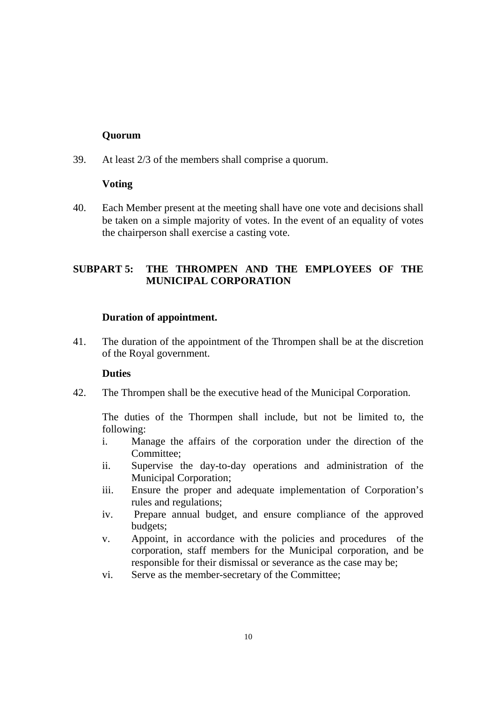# **Quorum**

39. At least 2/3 of the members shall comprise a quorum.

#### **Voting**

40. Each Member present at the meeting shall have one vote and decisions shall be taken on a simple majority of votes. In the event of an equality of votes the chairperson shall exercise a casting vote.

# **SUBPART 5: THE THROMPEN AND THE EMPLOYEES OF THE MUNICIPAL CORPORATION**

#### **Duration of appointment.**

41. The duration of the appointment of the Thrompen shall be at the discretion of the Royal government.

#### **Duties**

42. The Thrompen shall be the executive head of the Municipal Corporation.

The duties of the Thormpen shall include, but not be limited to, the following:

- i. Manage the affairs of the corporation under the direction of the Committee;
- ii. Supervise the day-to-day operations and administration of the Municipal Corporation;
- iii. Ensure the proper and adequate implementation of Corporation's rules and regulations;
- iv. Prepare annual budget, and ensure compliance of the approved budgets;
- v. Appoint, in accordance with the policies and procedures of the corporation, staff members for the Municipal corporation, and be responsible for their dismissal or severance as the case may be;
- vi. Serve as the member-secretary of the Committee;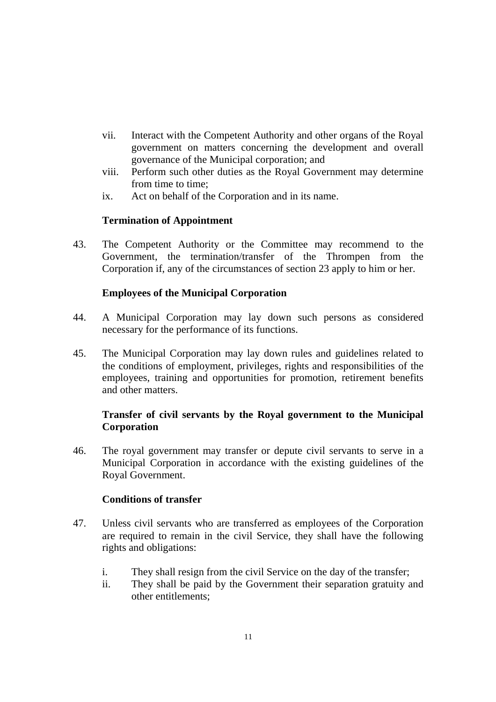- vii. Interact with the Competent Authority and other organs of the Royal government on matters concerning the development and overall governance of the Municipal corporation; and
- viii. Perform such other duties as the Royal Government may determine from time to time;
- ix. Act on behalf of the Corporation and in its name.

#### **Termination of Appointment**

43. The Competent Authority or the Committee may recommend to the Government, the termination/transfer of the Thrompen from the Corporation if, any of the circumstances of section 23 apply to him or her.

#### **Employees of the Municipal Corporation**

- 44. A Municipal Corporation may lay down such persons as considered necessary for the performance of its functions.
- 45. The Municipal Corporation may lay down rules and guidelines related to the conditions of employment, privileges, rights and responsibilities of the employees, training and opportunities for promotion, retirement benefits and other matters.

# **Transfer of civil servants by the Royal government to the Municipal Corporation**

46. The royal government may transfer or depute civil servants to serve in a Municipal Corporation in accordance with the existing guidelines of the Royal Government.

#### **Conditions of transfer**

- 47. Unless civil servants who are transferred as employees of the Corporation are required to remain in the civil Service, they shall have the following rights and obligations:
	- i. They shall resign from the civil Service on the day of the transfer;
	- ii. They shall be paid by the Government their separation gratuity and other entitlements;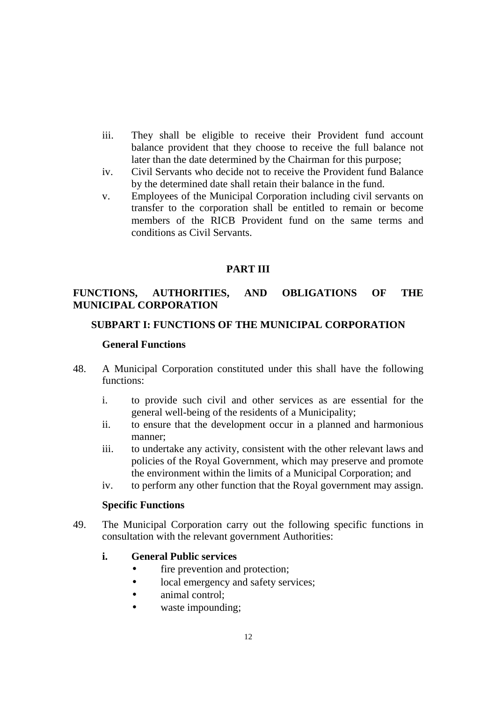- iii. They shall be eligible to receive their Provident fund account balance provident that they choose to receive the full balance not later than the date determined by the Chairman for this purpose;
- iv. Civil Servants who decide not to receive the Provident fund Balance by the determined date shall retain their balance in the fund.
- v. Employees of the Municipal Corporation including civil servants on transfer to the corporation shall be entitled to remain or become members of the RICB Provident fund on the same terms and conditions as Civil Servants.

#### **PART III**

# **FUNCTIONS, AUTHORITIES, AND OBLIGATIONS OF THE MUNICIPAL CORPORATION**

#### **SUBPART I: FUNCTIONS OF THE MUNICIPAL CORPORATION**

#### **General Functions**

- 48. A Municipal Corporation constituted under this shall have the following functions:
	- i. to provide such civil and other services as are essential for the general well-being of the residents of a Municipality;
	- ii. to ensure that the development occur in a planned and harmonious manner;
	- iii. to undertake any activity, consistent with the other relevant laws and policies of the Royal Government, which may preserve and promote the environment within the limits of a Municipal Corporation; and
	- iv. to perform any other function that the Royal government may assign.

#### **Specific Functions**

49. The Municipal Corporation carry out the following specific functions in consultation with the relevant government Authorities:

#### **i. General Public services**

- fire prevention and protection;
- local emergency and safety services;
- animal control;
- waste impounding;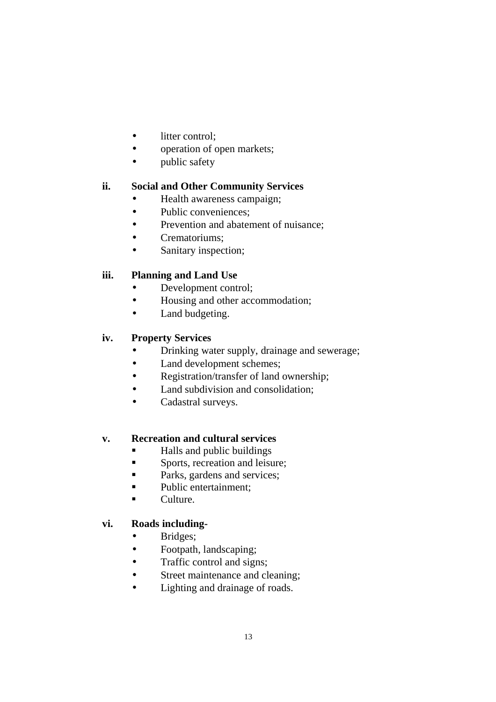- litter control:
- operation of open markets;
- public safety

# **ii. Social and Other Community Services**

- Health awareness campaign;
- Public conveniences;
- Prevention and abatement of nuisance;
- Crematoriums;
- Sanitary inspection;

# **iii. Planning and Land Use**

- Development control;
- Housing and other accommodation;
- Land budgeting.

#### **iv. Property Services**

- Drinking water supply, drainage and sewerage;
- Land development schemes;
- Registration/transfer of land ownership;
- Land subdivision and consolidation:
- Cadastral surveys.

#### **v. Recreation and cultural services**

- Halls and public buildings
- **Sports**, recreation and leisure;
- Parks, gardens and services;
- Public entertainment;
- **Culture.**

#### **vi. Roads including-**

- Bridges;
- Footpath, landscaping;
- Traffic control and signs;
- Street maintenance and cleaning;
- Lighting and drainage of roads.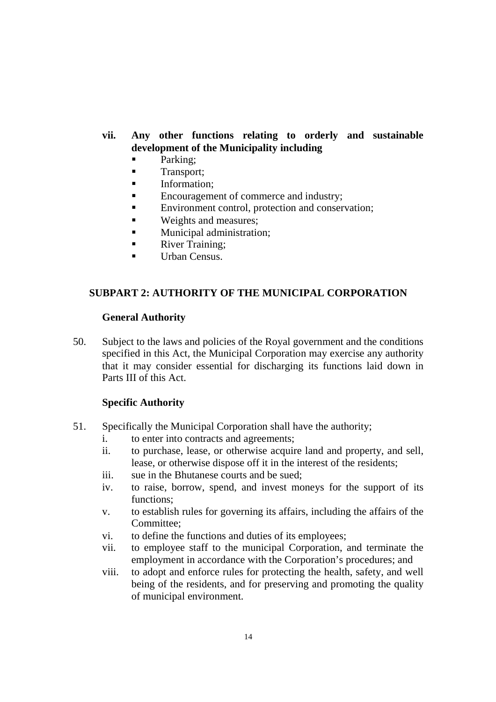# **vii. Any other functions relating to orderly and sustainable development of the Municipality including**

- Parking;
- **Transport**;
- **Information;**
- Encouragement of commerce and industry;
- Environment control, protection and conservation:
- **Weights and measures;**
- **Municipal administration;**
- **River Training;**
- Urban Census.

# **SUBPART 2: AUTHORITY OF THE MUNICIPAL CORPORATION**

#### **General Authority**

50. Subject to the laws and policies of the Royal government and the conditions specified in this Act, the Municipal Corporation may exercise any authority that it may consider essential for discharging its functions laid down in Parts III of this Act.

#### **Specific Authority**

- 51. Specifically the Municipal Corporation shall have the authority;
	- i. to enter into contracts and agreements;
	- ii. to purchase, lease, or otherwise acquire land and property, and sell, lease, or otherwise dispose off it in the interest of the residents;
	- iii. sue in the Bhutanese courts and be sued;
	- iv. to raise, borrow, spend, and invest moneys for the support of its functions;
	- v. to establish rules for governing its affairs, including the affairs of the Committee;
	- vi. to define the functions and duties of its employees;
	- vii. to employee staff to the municipal Corporation, and terminate the employment in accordance with the Corporation's procedures; and
	- viii. to adopt and enforce rules for protecting the health, safety, and well being of the residents, and for preserving and promoting the quality of municipal environment.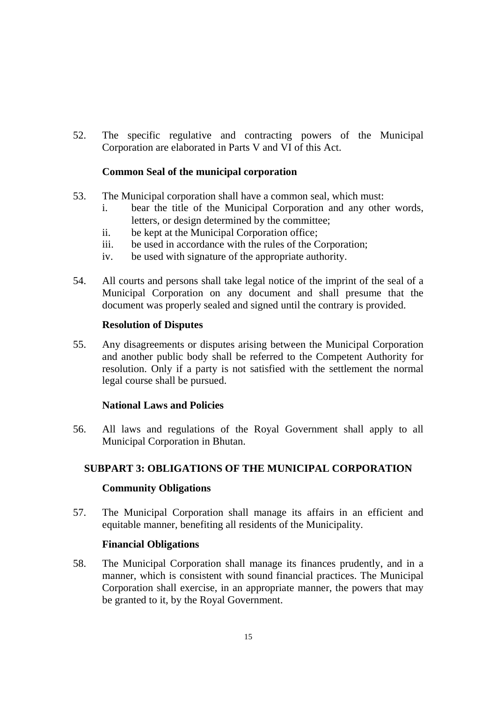52. The specific regulative and contracting powers of the Municipal Corporation are elaborated in Parts V and VI of this Act.

#### **Common Seal of the municipal corporation**

- 53. The Municipal corporation shall have a common seal, which must:
	- i. bear the title of the Municipal Corporation and any other words, letters, or design determined by the committee;
	- ii. be kept at the Municipal Corporation office;
	- iii. be used in accordance with the rules of the Corporation;
	- iv. be used with signature of the appropriate authority.
- 54. All courts and persons shall take legal notice of the imprint of the seal of a Municipal Corporation on any document and shall presume that the document was properly sealed and signed until the contrary is provided.

#### **Resolution of Disputes**

55. Any disagreements or disputes arising between the Municipal Corporation and another public body shall be referred to the Competent Authority for resolution. Only if a party is not satisfied with the settlement the normal legal course shall be pursued.

#### **National Laws and Policies**

56. All laws and regulations of the Royal Government shall apply to all Municipal Corporation in Bhutan.

#### **SUBPART 3: OBLIGATIONS OF THE MUNICIPAL CORPORATION**

#### **Community Obligations**

57. The Municipal Corporation shall manage its affairs in an efficient and equitable manner, benefiting all residents of the Municipality.

#### **Financial Obligations**

58. The Municipal Corporation shall manage its finances prudently, and in a manner, which is consistent with sound financial practices. The Municipal Corporation shall exercise, in an appropriate manner, the powers that may be granted to it, by the Royal Government.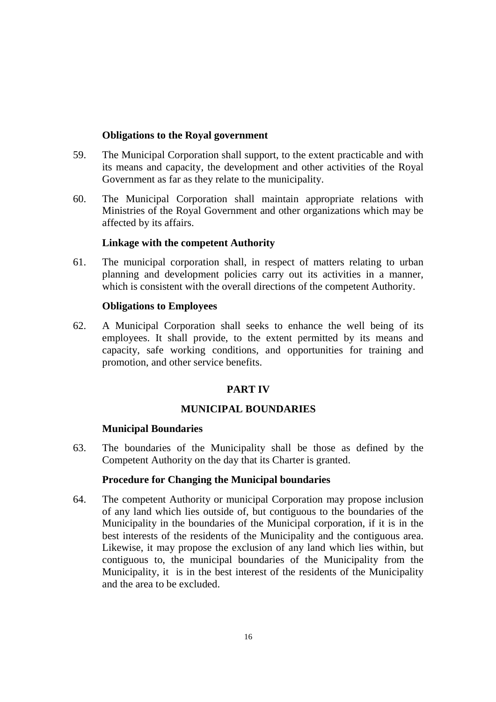#### **Obligations to the Royal government**

- 59. The Municipal Corporation shall support, to the extent practicable and with its means and capacity, the development and other activities of the Royal Government as far as they relate to the municipality.
- 60. The Municipal Corporation shall maintain appropriate relations with Ministries of the Royal Government and other organizations which may be affected by its affairs.

#### **Linkage with the competent Authority**

61. The municipal corporation shall, in respect of matters relating to urban planning and development policies carry out its activities in a manner, which is consistent with the overall directions of the competent Authority.

#### **Obligations to Employees**

62. A Municipal Corporation shall seeks to enhance the well being of its employees. It shall provide, to the extent permitted by its means and capacity, safe working conditions, and opportunities for training and promotion, and other service benefits.

#### **PART IV**

#### **MUNICIPAL BOUNDARIES**

#### **Municipal Boundaries**

63. The boundaries of the Municipality shall be those as defined by the Competent Authority on the day that its Charter is granted.

#### **Procedure for Changing the Municipal boundaries**

64. The competent Authority or municipal Corporation may propose inclusion of any land which lies outside of, but contiguous to the boundaries of the Municipality in the boundaries of the Municipal corporation, if it is in the best interests of the residents of the Municipality and the contiguous area. Likewise, it may propose the exclusion of any land which lies within, but contiguous to, the municipal boundaries of the Municipality from the Municipality, it is in the best interest of the residents of the Municipality and the area to be excluded.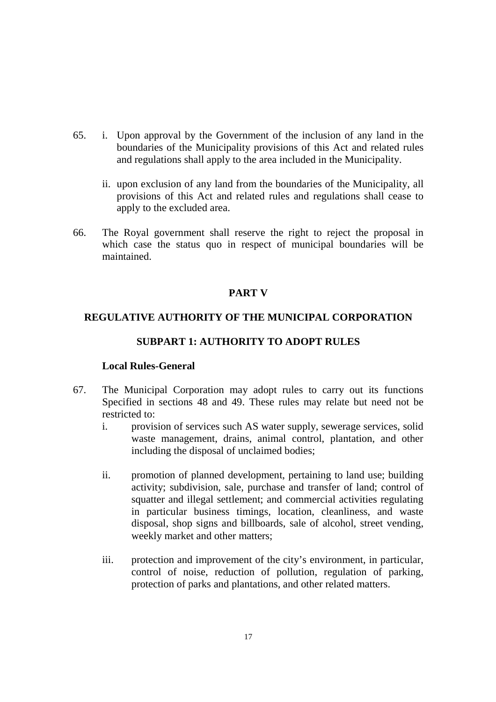- 65. i. Upon approval by the Government of the inclusion of any land in the boundaries of the Municipality provisions of this Act and related rules and regulations shall apply to the area included in the Municipality.
	- ii. upon exclusion of any land from the boundaries of the Municipality, all provisions of this Act and related rules and regulations shall cease to apply to the excluded area.
- 66. The Royal government shall reserve the right to reject the proposal in which case the status quo in respect of municipal boundaries will be maintained.

# **PART V**

#### **REGULATIVE AUTHORITY OF THE MUNICIPAL CORPORATION**

#### **SUBPART 1: AUTHORITY TO ADOPT RULES**

#### **Local Rules-General**

- 67. The Municipal Corporation may adopt rules to carry out its functions Specified in sections 48 and 49. These rules may relate but need not be restricted to:
	- i. provision of services such AS water supply, sewerage services, solid waste management, drains, animal control, plantation, and other including the disposal of unclaimed bodies;
	- ii. promotion of planned development, pertaining to land use; building activity; subdivision, sale, purchase and transfer of land; control of squatter and illegal settlement; and commercial activities regulating in particular business timings, location, cleanliness, and waste disposal, shop signs and billboards, sale of alcohol, street vending, weekly market and other matters;
	- iii. protection and improvement of the city's environment, in particular, control of noise, reduction of pollution, regulation of parking, protection of parks and plantations, and other related matters.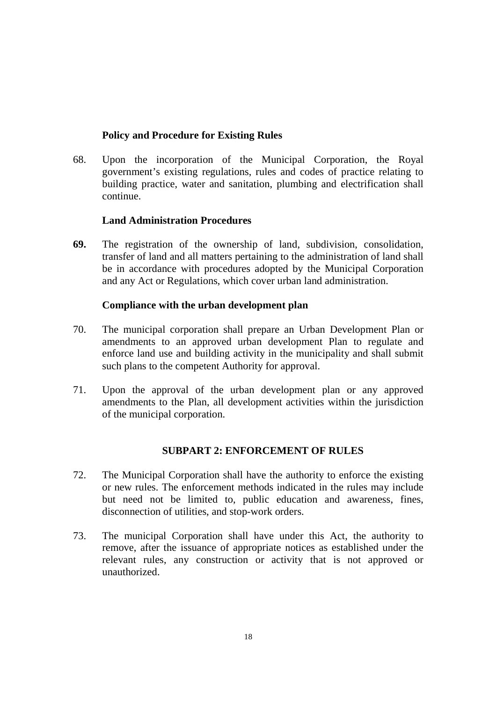# **Policy and Procedure for Existing Rules**

68. Upon the incorporation of the Municipal Corporation, the Royal government's existing regulations, rules and codes of practice relating to building practice, water and sanitation, plumbing and electrification shall continue.

#### **Land Administration Procedures**

**69.** The registration of the ownership of land, subdivision, consolidation, transfer of land and all matters pertaining to the administration of land shall be in accordance with procedures adopted by the Municipal Corporation and any Act or Regulations, which cover urban land administration.

#### **Compliance with the urban development plan**

- 70. The municipal corporation shall prepare an Urban Development Plan or amendments to an approved urban development Plan to regulate and enforce land use and building activity in the municipality and shall submit such plans to the competent Authority for approval.
- 71. Upon the approval of the urban development plan or any approved amendments to the Plan, all development activities within the jurisdiction of the municipal corporation.

#### **SUBPART 2: ENFORCEMENT OF RULES**

- 72. The Municipal Corporation shall have the authority to enforce the existing or new rules. The enforcement methods indicated in the rules may include but need not be limited to, public education and awareness, fines, disconnection of utilities, and stop-work orders.
- 73. The municipal Corporation shall have under this Act, the authority to remove, after the issuance of appropriate notices as established under the relevant rules, any construction or activity that is not approved or unauthorized.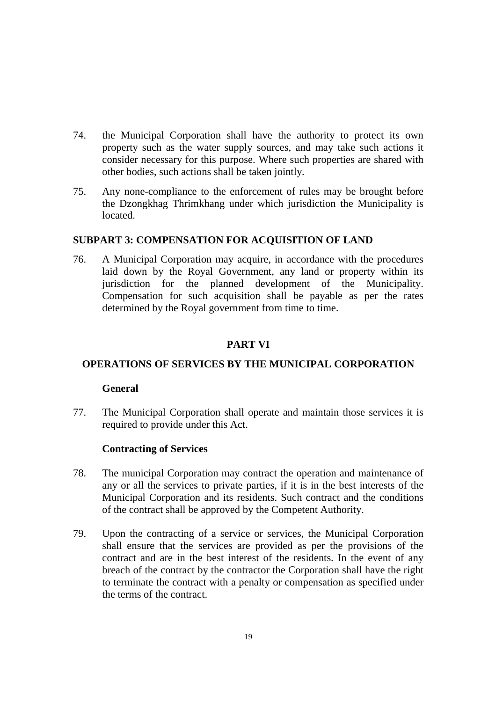- 74. the Municipal Corporation shall have the authority to protect its own property such as the water supply sources, and may take such actions it consider necessary for this purpose. Where such properties are shared with other bodies, such actions shall be taken jointly.
- 75. Any none-compliance to the enforcement of rules may be brought before the Dzongkhag Thrimkhang under which jurisdiction the Municipality is located.

#### **SUBPART 3: COMPENSATION FOR ACQUISITION OF LAND**

76. A Municipal Corporation may acquire, in accordance with the procedures laid down by the Royal Government, any land or property within its jurisdiction for the planned development of the Municipality. Compensation for such acquisition shall be payable as per the rates determined by the Royal government from time to time.

# **PART VI**

#### **OPERATIONS OF SERVICES BY THE MUNICIPAL CORPORATION**

#### **General**

77. The Municipal Corporation shall operate and maintain those services it is required to provide under this Act.

#### **Contracting of Services**

- 78. The municipal Corporation may contract the operation and maintenance of any or all the services to private parties, if it is in the best interests of the Municipal Corporation and its residents. Such contract and the conditions of the contract shall be approved by the Competent Authority.
- 79. Upon the contracting of a service or services, the Municipal Corporation shall ensure that the services are provided as per the provisions of the contract and are in the best interest of the residents. In the event of any breach of the contract by the contractor the Corporation shall have the right to terminate the contract with a penalty or compensation as specified under the terms of the contract.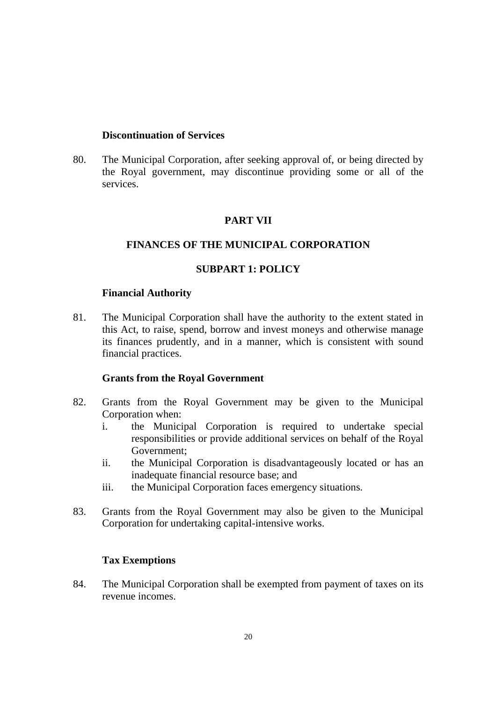#### **Discontinuation of Services**

80. The Municipal Corporation, after seeking approval of, or being directed by the Royal government, may discontinue providing some or all of the services.

# **PART VII**

# **FINANCES OF THE MUNICIPAL CORPORATION**

# **SUBPART 1: POLICY**

#### **Financial Authority**

81. The Municipal Corporation shall have the authority to the extent stated in this Act, to raise, spend, borrow and invest moneys and otherwise manage its finances prudently, and in a manner, which is consistent with sound financial practices.

#### **Grants from the Royal Government**

- 82. Grants from the Royal Government may be given to the Municipal Corporation when:
	- i. the Municipal Corporation is required to undertake special responsibilities or provide additional services on behalf of the Royal Government;
	- ii. the Municipal Corporation is disadvantageously located or has an inadequate financial resource base; and
	- iii. the Municipal Corporation faces emergency situations.
- 83. Grants from the Royal Government may also be given to the Municipal Corporation for undertaking capital-intensive works.

#### **Tax Exemptions**

84. The Municipal Corporation shall be exempted from payment of taxes on its revenue incomes.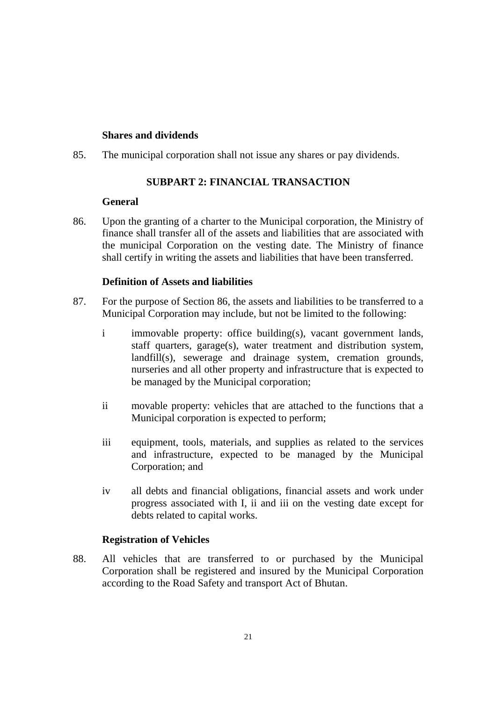#### **Shares and dividends**

85. The municipal corporation shall not issue any shares or pay dividends.

# **SUBPART 2: FINANCIAL TRANSACTION**

#### **General**

86. Upon the granting of a charter to the Municipal corporation, the Ministry of finance shall transfer all of the assets and liabilities that are associated with the municipal Corporation on the vesting date. The Ministry of finance shall certify in writing the assets and liabilities that have been transferred.

#### **Definition of Assets and liabilities**

- 87. For the purpose of Section 86, the assets and liabilities to be transferred to a Municipal Corporation may include, but not be limited to the following:
	- i immovable property: office building(s), vacant government lands, staff quarters, garage(s), water treatment and distribution system, landfill(s), sewerage and drainage system, cremation grounds, nurseries and all other property and infrastructure that is expected to be managed by the Municipal corporation;
	- ii movable property: vehicles that are attached to the functions that a Municipal corporation is expected to perform;
	- iii equipment, tools, materials, and supplies as related to the services and infrastructure, expected to be managed by the Municipal Corporation; and
	- iv all debts and financial obligations, financial assets and work under progress associated with I, ii and iii on the vesting date except for debts related to capital works.

#### **Registration of Vehicles**

88. All vehicles that are transferred to or purchased by the Municipal Corporation shall be registered and insured by the Municipal Corporation according to the Road Safety and transport Act of Bhutan.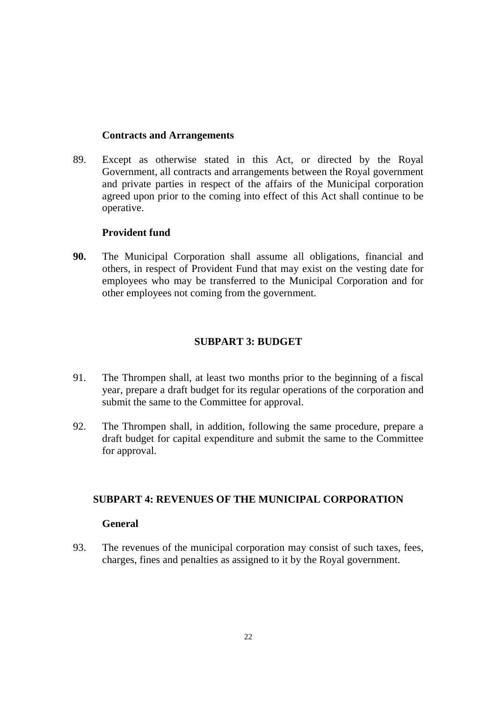#### **Contracts and Arrangements**

89. Except as otherwise stated in this Act, or directed by the Royal Government, all contracts and arrangements between the Royal government and private parties in respect of the affairs of the Municipal corporation agreed upon prior to the coming into effect of this Act shall continue to be operative.

#### **Provident fund**

**90.** The Municipal Corporation shall assume all obligations, financial and others, in respect of Provident Fund that may exist on the vesting date for employees who may be transferred to the Municipal Corporation and for other employees not coming from the government.

#### **SUBPART 3: BUDGET**

- 91. The Thrompen shall, at least two months prior to the beginning of a fiscal year, prepare a draft budget for its regular operations of the corporation and submit the same to the Committee for approval.
- 92. The Thrompen shall, in addition, following the same procedure, prepare a draft budget for capital expenditure and submit the same to the Committee for approval.

#### **SUBPART 4: REVENUES OF THE MUNICIPAL CORPORATION**

#### **General**

93. The revenues of the municipal corporation may consist of such taxes, fees, charges, fines and penalties as assigned to it by the Royal government.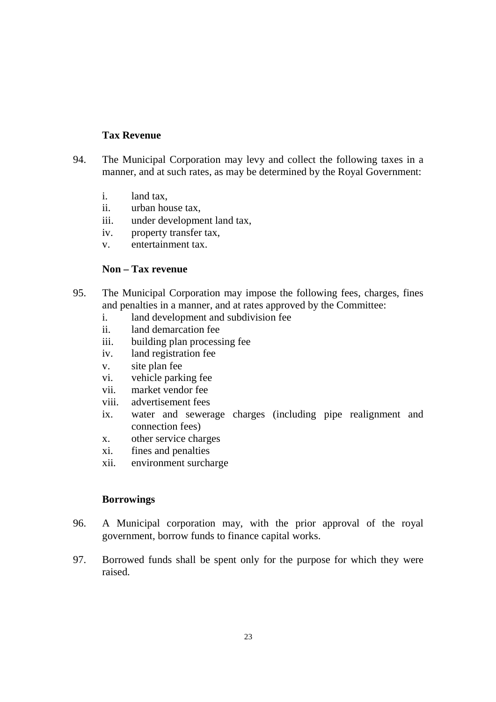# **Tax Revenue**

- 94. The Municipal Corporation may levy and collect the following taxes in a manner, and at such rates, as may be determined by the Royal Government:
	- i. land tax,
	- ii. urban house tax,
	- iii. under development land tax,
	- iv. property transfer tax,
	- v. entertainment tax.

#### **Non – Tax revenue**

- 95. The Municipal Corporation may impose the following fees, charges, fines and penalties in a manner, and at rates approved by the Committee:
	- i. land development and subdivision fee
	- ii. land demarcation fee
	- iii. building plan processing fee
	- iv. land registration fee
	- v. site plan fee
	- vi. vehicle parking fee
	- vii. market vendor fee
	- viii. advertisement fees
	- ix. water and sewerage charges (including pipe realignment and connection fees)
	- x. other service charges
	- xi. fines and penalties
	- xii. environment surcharge

#### **Borrowings**

- 96. A Municipal corporation may, with the prior approval of the royal government, borrow funds to finance capital works.
- 97. Borrowed funds shall be spent only for the purpose for which they were raised.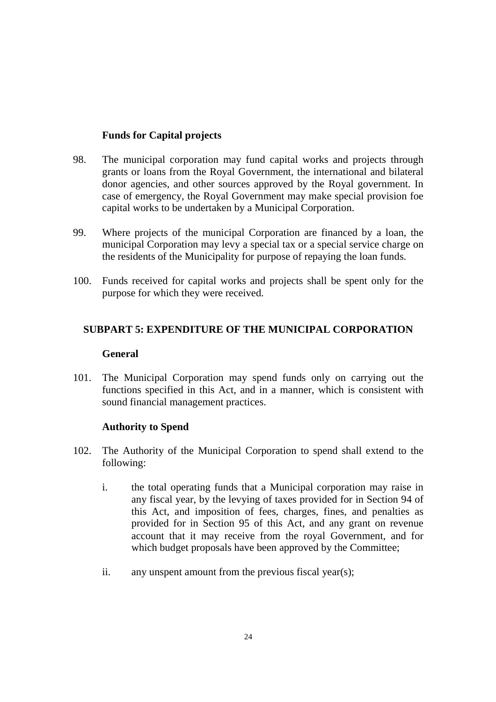# **Funds for Capital projects**

- 98. The municipal corporation may fund capital works and projects through grants or loans from the Royal Government, the international and bilateral donor agencies, and other sources approved by the Royal government. In case of emergency, the Royal Government may make special provision foe capital works to be undertaken by a Municipal Corporation.
- 99. Where projects of the municipal Corporation are financed by a loan, the municipal Corporation may levy a special tax or a special service charge on the residents of the Municipality for purpose of repaying the loan funds.
- 100. Funds received for capital works and projects shall be spent only for the purpose for which they were received.

# **SUBPART 5: EXPENDITURE OF THE MUNICIPAL CORPORATION**

#### **General**

101. The Municipal Corporation may spend funds only on carrying out the functions specified in this Act, and in a manner, which is consistent with sound financial management practices.

#### **Authority to Spend**

- 102. The Authority of the Municipal Corporation to spend shall extend to the following:
	- i. the total operating funds that a Municipal corporation may raise in any fiscal year, by the levying of taxes provided for in Section 94 of this Act, and imposition of fees, charges, fines, and penalties as provided for in Section 95 of this Act, and any grant on revenue account that it may receive from the royal Government, and for which budget proposals have been approved by the Committee;
	- ii. any unspent amount from the previous fiscal year(s);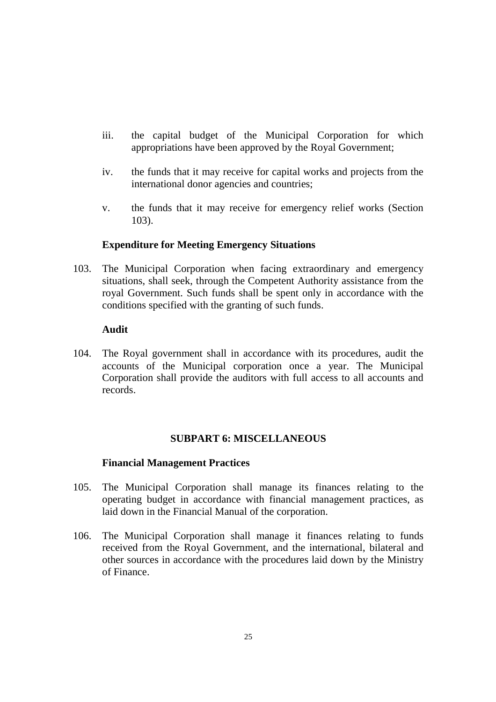- iii. the capital budget of the Municipal Corporation for which appropriations have been approved by the Royal Government;
- iv. the funds that it may receive for capital works and projects from the international donor agencies and countries;
- v. the funds that it may receive for emergency relief works (Section 103).

#### **Expenditure for Meeting Emergency Situations**

103. The Municipal Corporation when facing extraordinary and emergency situations, shall seek, through the Competent Authority assistance from the royal Government. Such funds shall be spent only in accordance with the conditions specified with the granting of such funds.

#### **Audit**

104. The Royal government shall in accordance with its procedures, audit the accounts of the Municipal corporation once a year. The Municipal Corporation shall provide the auditors with full access to all accounts and records.

#### **SUBPART 6: MISCELLANEOUS**

#### **Financial Management Practices**

- 105. The Municipal Corporation shall manage its finances relating to the operating budget in accordance with financial management practices, as laid down in the Financial Manual of the corporation.
- 106. The Municipal Corporation shall manage it finances relating to funds received from the Royal Government, and the international, bilateral and other sources in accordance with the procedures laid down by the Ministry of Finance.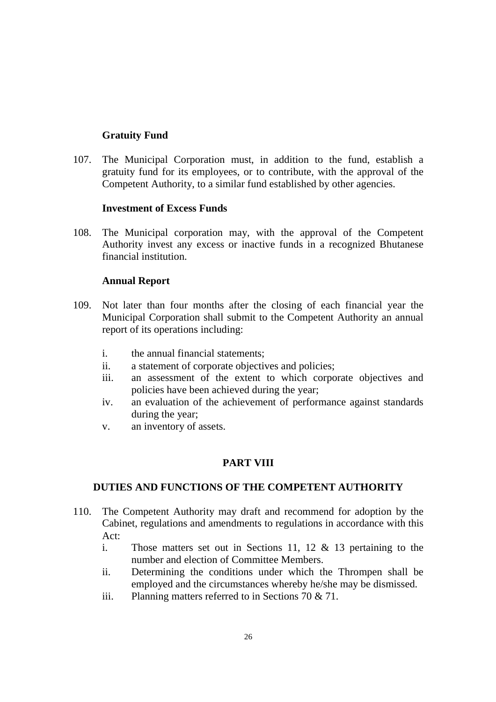# **Gratuity Fund**

107. The Municipal Corporation must, in addition to the fund, establish a gratuity fund for its employees, or to contribute, with the approval of the Competent Authority, to a similar fund established by other agencies.

#### **Investment of Excess Funds**

108. The Municipal corporation may, with the approval of the Competent Authority invest any excess or inactive funds in a recognized Bhutanese financial institution.

#### **Annual Report**

- 109. Not later than four months after the closing of each financial year the Municipal Corporation shall submit to the Competent Authority an annual report of its operations including:
	- i. the annual financial statements;
	- ii. a statement of corporate objectives and policies;
	- iii. an assessment of the extent to which corporate objectives and policies have been achieved during the year;
	- iv. an evaluation of the achievement of performance against standards during the year;
	- v. an inventory of assets.

#### **PART VIII**

#### **DUTIES AND FUNCTIONS OF THE COMPETENT AUTHORITY**

- 110. The Competent Authority may draft and recommend for adoption by the Cabinet, regulations and amendments to regulations in accordance with this  $Act$ 
	- i. Those matters set out in Sections 11, 12 & 13 pertaining to the number and election of Committee Members.
	- ii. Determining the conditions under which the Thrompen shall be employed and the circumstances whereby he/she may be dismissed.
	- iii. Planning matters referred to in Sections 70 & 71.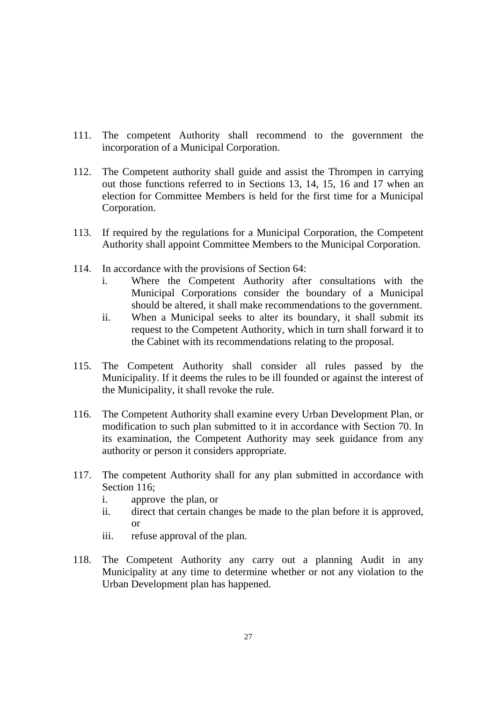- 111. The competent Authority shall recommend to the government the incorporation of a Municipal Corporation.
- 112. The Competent authority shall guide and assist the Thrompen in carrying out those functions referred to in Sections 13, 14, 15, 16 and 17 when an election for Committee Members is held for the first time for a Municipal Corporation.
- 113. If required by the regulations for a Municipal Corporation, the Competent Authority shall appoint Committee Members to the Municipal Corporation.
- 114. In accordance with the provisions of Section 64:
	- i. Where the Competent Authority after consultations with the Municipal Corporations consider the boundary of a Municipal should be altered, it shall make recommendations to the government.
	- ii. When a Municipal seeks to alter its boundary, it shall submit its request to the Competent Authority, which in turn shall forward it to the Cabinet with its recommendations relating to the proposal.
- 115. The Competent Authority shall consider all rules passed by the Municipality. If it deems the rules to be ill founded or against the interest of the Municipality, it shall revoke the rule.
- 116. The Competent Authority shall examine every Urban Development Plan, or modification to such plan submitted to it in accordance with Section 70. In its examination, the Competent Authority may seek guidance from any authority or person it considers appropriate.
- 117. The competent Authority shall for any plan submitted in accordance with Section 116:
	- i. approve the plan, or
	- ii. direct that certain changes be made to the plan before it is approved, or
	- iii. refuse approval of the plan.
- 118. The Competent Authority any carry out a planning Audit in any Municipality at any time to determine whether or not any violation to the Urban Development plan has happened.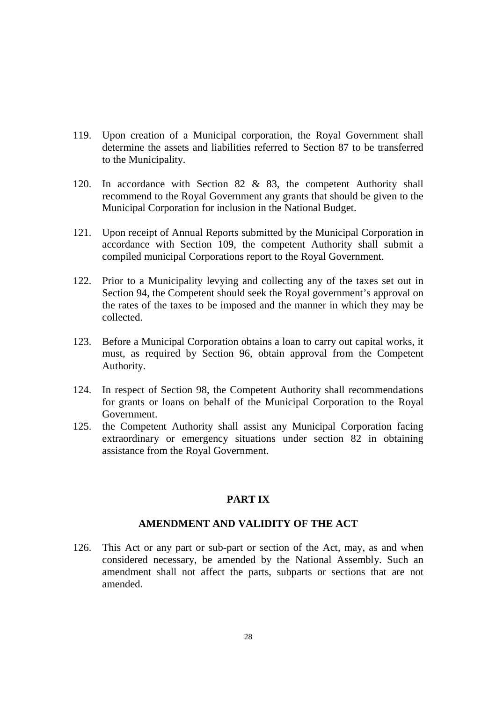- 119. Upon creation of a Municipal corporation, the Royal Government shall determine the assets and liabilities referred to Section 87 to be transferred to the Municipality.
- 120. In accordance with Section 82 & 83, the competent Authority shall recommend to the Royal Government any grants that should be given to the Municipal Corporation for inclusion in the National Budget.
- 121. Upon receipt of Annual Reports submitted by the Municipal Corporation in accordance with Section 109, the competent Authority shall submit a compiled municipal Corporations report to the Royal Government.
- 122. Prior to a Municipality levying and collecting any of the taxes set out in Section 94, the Competent should seek the Royal government's approval on the rates of the taxes to be imposed and the manner in which they may be collected.
- 123. Before a Municipal Corporation obtains a loan to carry out capital works, it must, as required by Section 96, obtain approval from the Competent Authority.
- 124. In respect of Section 98, the Competent Authority shall recommendations for grants or loans on behalf of the Municipal Corporation to the Royal Government.
- 125. the Competent Authority shall assist any Municipal Corporation facing extraordinary or emergency situations under section 82 in obtaining assistance from the Royal Government.

# **PART IX**

#### **AMENDMENT AND VALIDITY OF THE ACT**

126. This Act or any part or sub-part or section of the Act, may, as and when considered necessary, be amended by the National Assembly. Such an amendment shall not affect the parts, subparts or sections that are not amended.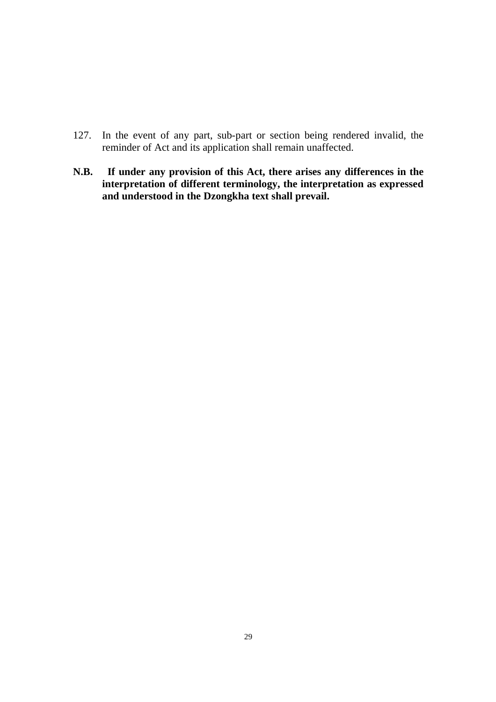- 127. In the event of any part, sub-part or section being rendered invalid, the reminder of Act and its application shall remain unaffected.
- **N.B. If under any provision of this Act, there arises any differences in the interpretation of different terminology, the interpretation as expressed and understood in the Dzongkha text shall prevail.**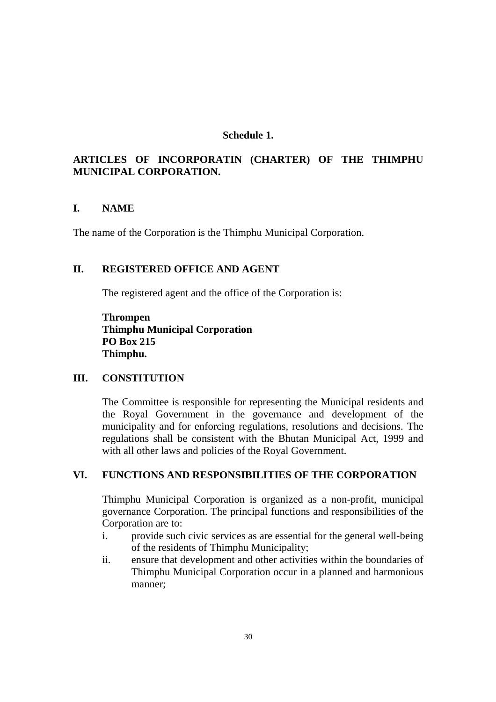#### **Schedule 1.**

# **ARTICLES OF INCORPORATIN (CHARTER) OF THE THIMPHU MUNICIPAL CORPORATION.**

#### **I. NAME**

The name of the Corporation is the Thimphu Municipal Corporation.

# **II. REGISTERED OFFICE AND AGENT**

The registered agent and the office of the Corporation is:

**Thrompen Thimphu Municipal Corporation PO Box 215 Thimphu.** 

#### **III. CONSTITUTION**

The Committee is responsible for representing the Municipal residents and the Royal Government in the governance and development of the municipality and for enforcing regulations, resolutions and decisions. The regulations shall be consistent with the Bhutan Municipal Act, 1999 and with all other laws and policies of the Royal Government.

#### **VI. FUNCTIONS AND RESPONSIBILITIES OF THE CORPORATION**

Thimphu Municipal Corporation is organized as a non-profit, municipal governance Corporation. The principal functions and responsibilities of the Corporation are to:

- i. provide such civic services as are essential for the general well-being of the residents of Thimphu Municipality;
- ii. ensure that development and other activities within the boundaries of Thimphu Municipal Corporation occur in a planned and harmonious manner;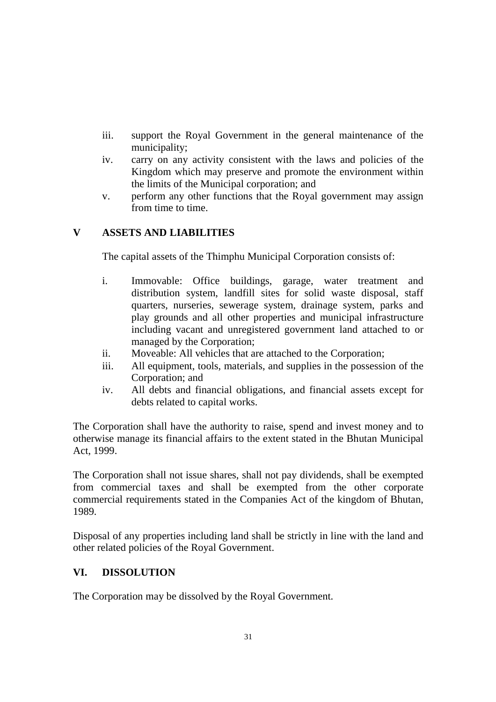- iii. support the Royal Government in the general maintenance of the municipality;
- iv. carry on any activity consistent with the laws and policies of the Kingdom which may preserve and promote the environment within the limits of the Municipal corporation; and
- v. perform any other functions that the Royal government may assign from time to time.

# **V ASSETS AND LIABILITIES**

The capital assets of the Thimphu Municipal Corporation consists of:

- i. Immovable: Office buildings, garage, water treatment and distribution system, landfill sites for solid waste disposal, staff quarters, nurseries, sewerage system, drainage system, parks and play grounds and all other properties and municipal infrastructure including vacant and unregistered government land attached to or managed by the Corporation;
- ii. Moveable: All vehicles that are attached to the Corporation;
- iii. All equipment, tools, materials, and supplies in the possession of the Corporation; and
- iv. All debts and financial obligations, and financial assets except for debts related to capital works.

The Corporation shall have the authority to raise, spend and invest money and to otherwise manage its financial affairs to the extent stated in the Bhutan Municipal Act, 1999.

The Corporation shall not issue shares, shall not pay dividends, shall be exempted from commercial taxes and shall be exempted from the other corporate commercial requirements stated in the Companies Act of the kingdom of Bhutan, 1989.

Disposal of any properties including land shall be strictly in line with the land and other related policies of the Royal Government.

# **VI. DISSOLUTION**

The Corporation may be dissolved by the Royal Government.